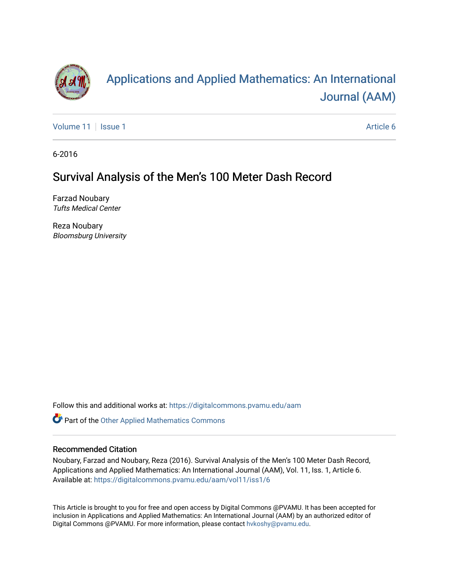

# [Applications and Applied Mathematics: An International](https://digitalcommons.pvamu.edu/aam)  [Journal \(AAM\)](https://digitalcommons.pvamu.edu/aam)

[Volume 11](https://digitalcommons.pvamu.edu/aam/vol11) | [Issue 1](https://digitalcommons.pvamu.edu/aam/vol11/iss1) Article 6

6-2016

## Survival Analysis of the Men's 100 Meter Dash Record

Farzad Noubary Tufts Medical Center

Reza Noubary Bloomsburg University

Follow this and additional works at: [https://digitalcommons.pvamu.edu/aam](https://digitalcommons.pvamu.edu/aam?utm_source=digitalcommons.pvamu.edu%2Faam%2Fvol11%2Fiss1%2F6&utm_medium=PDF&utm_campaign=PDFCoverPages) 

Part of the [Other Applied Mathematics Commons](http://network.bepress.com/hgg/discipline/122?utm_source=digitalcommons.pvamu.edu%2Faam%2Fvol11%2Fiss1%2F6&utm_medium=PDF&utm_campaign=PDFCoverPages)

#### Recommended Citation

Noubary, Farzad and Noubary, Reza (2016). Survival Analysis of the Men's 100 Meter Dash Record, Applications and Applied Mathematics: An International Journal (AAM), Vol. 11, Iss. 1, Article 6. Available at: [https://digitalcommons.pvamu.edu/aam/vol11/iss1/6](https://digitalcommons.pvamu.edu/aam/vol11/iss1/6?utm_source=digitalcommons.pvamu.edu%2Faam%2Fvol11%2Fiss1%2F6&utm_medium=PDF&utm_campaign=PDFCoverPages) 

This Article is brought to you for free and open access by Digital Commons @PVAMU. It has been accepted for inclusion in Applications and Applied Mathematics: An International Journal (AAM) by an authorized editor of Digital Commons @PVAMU. For more information, please contact [hvkoshy@pvamu.edu.](mailto:hvkoshy@pvamu.edu)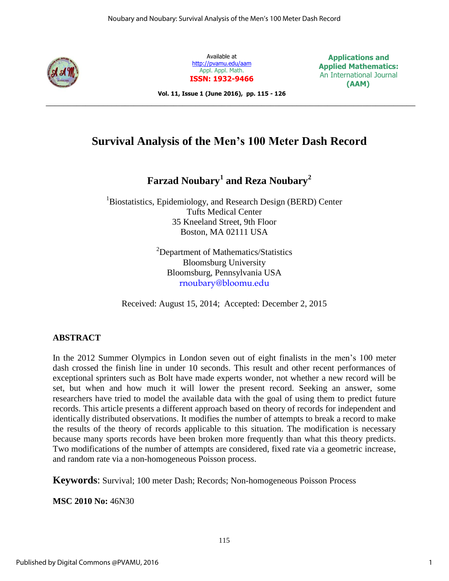

Available at <http://pvamu.edu/aam> Appl. Appl. Math. **ISSN: 1932-9466**

**Applications and Applied Mathematics:** An International Journal  **(AAM)**

**Vol. 11, Issue 1 (June 2016), pp. 115 - 126**

## **Survival Analysis of the Men's 100 Meter Dash Record**

\_\_\_\_\_\_\_\_\_\_\_\_\_\_\_\_\_\_\_\_\_\_\_\_\_\_\_\_\_\_\_\_\_\_\_\_\_\_\_\_\_\_\_\_\_\_\_\_\_\_\_\_\_\_\_\_\_\_\_\_\_\_\_\_\_\_\_\_\_\_\_\_\_\_\_\_\_\_\_\_\_\_\_\_

**Farzad Noubary<sup>1</sup> and Reza Noubary<sup>2</sup>**

<sup>1</sup>Biostatistics, Epidemiology, and Research Design (BERD) Center Tufts Medical Center 35 Kneeland Street, 9th Floor Boston, MA 02111 USA

> <sup>2</sup>Department of Mathematics/Statistics Bloomsburg University Bloomsburg, Pennsylvania USA [rnoubary@bloomu.edu](mailto:rnoubary@bloomu.edu)

Received: August 15, 2014; Accepted: December 2, 2015

### **ABSTRACT**

In the 2012 Summer Olympics in London seven out of eight finalists in the men's 100 meter dash crossed the finish line in under 10 seconds. This result and other recent performances of exceptional sprinters such as Bolt have made experts wonder, not whether a new record will be set, but when and how much it will lower the present record. Seeking an answer, some researchers have tried to model the available data with the goal of using them to predict future records. This article presents a different approach based on theory of records for independent and identically distributed observations. It modifies the number of attempts to break a record to make the results of the theory of records applicable to this situation. The modification is necessary because many sports records have been broken more frequently than what this theory predicts. Two modifications of the number of attempts are considered, fixed rate via a geometric increase, and random rate via a non-homogeneous Poisson process.

**Keywords**: Survival; 100 meter Dash; Records; Non-homogeneous Poisson Process

**MSC 2010 No:** 46N30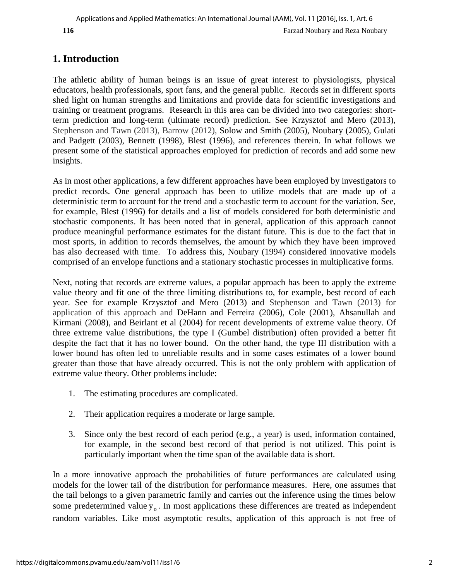## **1. Introduction**

The athletic ability of human beings is an issue of great interest to physiologists, physical educators, health professionals, sport fans, and the general public. Records set in different sports shed light on human strengths and limitations and provide data for scientific investigations and training or treatment programs. Research in this area can be divided into two categories: shortterm prediction and long-term (ultimate record) prediction. See Krzysztof and Mero (2013), Stephenson and Tawn (2013), Barrow (2012), Solow and Smith (2005), Noubary (2005), Gulati and Padgett (2003), Bennett (1998), Blest (1996), and references therein. In what follows we present some of the statistical approaches employed for prediction of records and add some new insights.

As in most other applications, a few different approaches have been employed by investigators to predict records. One general approach has been to utilize models that are made up of a deterministic term to account for the trend and a stochastic term to account for the variation. See, for example, Blest (1996) for details and a list of models considered for both deterministic and stochastic components. It has been noted that in general, application of this approach cannot produce meaningful performance estimates for the distant future. This is due to the fact that in most sports, in addition to records themselves, the amount by which they have been improved has also decreased with time. To address this, Noubary (1994) considered innovative models comprised of an envelope functions and a stationary stochastic processes in multiplicative forms.

Next, noting that records are extreme values, a popular approach has been to apply the extreme value theory and fit one of the three limiting distributions to, for example, best record of each year. See for example Krzysztof and Mero (2013) and Stephenson and Tawn (2013) for application of this approach and DeHann and Ferreira (2006), Cole (2001), Ahsanullah and Kirmani (2008), and Beirlant et al (2004) for recent developments of extreme value theory. Of three extreme value distributions, the type I (Gumbel distribution) often provided a better fit despite the fact that it has no lower bound. On the other hand, the type III distribution with a lower bound has often led to unreliable results and in some cases estimates of a lower bound greater than those that have already occurred. This is not the only problem with application of extreme value theory. Other problems include:

- 1. The estimating procedures are complicated.
- 2. Their application requires a moderate or large sample.
- 3. Since only the best record of each period (e.g., a year) is used, information contained, for example, in the second best record of that period is not utilized. This point is particularly important when the time span of the available data is short.

In a more innovative approach the probabilities of future performances are calculated using models for the lower tail of the distribution for performance measures. Here, one assumes that the tail belongs to a given parametric family and carries out the inference using the times below some predetermined value  $y_0$ . In most applications these differences are treated as independent random variables. Like most asymptotic results, application of this approach is not free of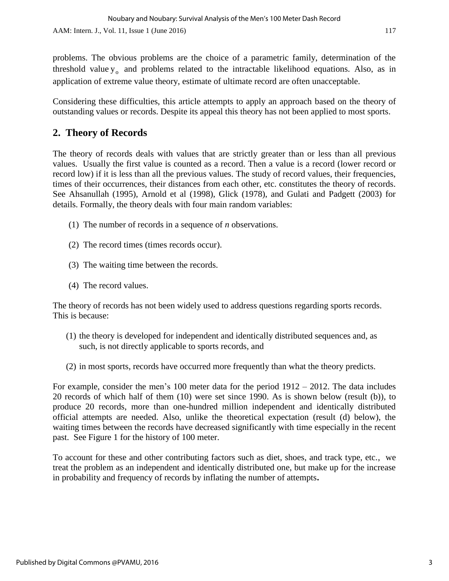problems. The obvious problems are the choice of a parametric family, determination of the threshold value  $y_0$  and problems related to the intractable likelihood equations. Also, as in application of extreme value theory, estimate of ultimate record are often unacceptable.

Considering these difficulties, this article attempts to apply an approach based on the theory of outstanding values or records. Despite its appeal this theory has not been applied to most sports.

## **2. Theory of Records**

The theory of records deals with values that are strictly greater than or less than all previous values. Usually the first value is counted as a record. Then a value is a record (lower record or record low) if it is less than all the previous values. The study of record values, their frequencies, times of their occurrences, their distances from each other, etc. constitutes the theory of records. See Ahsanullah (1995), Arnold et al (1998), Glick (1978), and Gulati and Padgett (2003) for details. Formally, the theory deals with four main random variables:

- (1) The number of records in a sequence of *n* observations.
- (2) The record times (times records occur).
- (3) The waiting time between the records.
- (4) The record values.

The theory of records has not been widely used to address questions regarding sports records. This is because:

- (1) the theory is developed for independent and identically distributed sequences and, as such, is not directly applicable to sports records, and
- (2) in most sports, records have occurred more frequently than what the theory predicts.

For example, consider the men's 100 meter data for the period 1912 – 2012. The data includes 20 records of which half of them (10) were set since 1990. As is shown below (result (b)), to produce 20 records, more than one-hundred million independent and identically distributed official attempts are needed. Also, unlike the theoretical expectation (result (d) below), the waiting times between the records have decreased significantly with time especially in the recent past. See Figure 1 for the history of 100 meter.

To account for these and other contributing factors such as diet, shoes, and track type, etc., we treat the problem as an independent and identically distributed one, but make up for the increase in probability and frequency of records by inflating the number of attempts**.**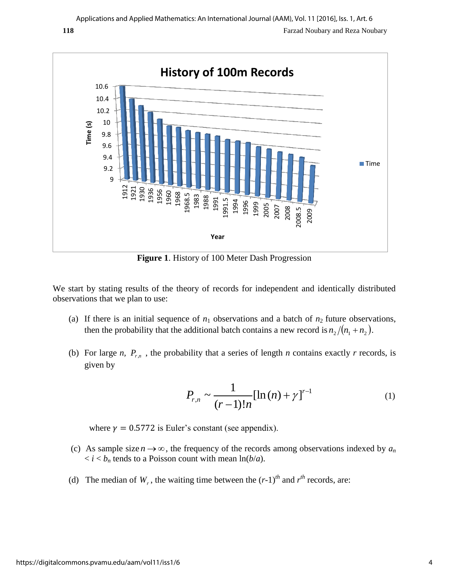

**Figure 1**. History of 100 Meter Dash Progression

We start by stating results of the theory of records for independent and identically distributed observations that we plan to use:

- (a) If there is an initial sequence of  $n_1$  observations and a batch of  $n_2$  future observations, then the probability that the additional batch contains a new record is  $n_2/(n_1 + n_2)$ .
- (b) For large *n*,  $P_{r,n}$ , the probability that a series of length *n* contains exactly *r* records, is given by

$$
P_{r,n} \sim \frac{1}{(r-1)!n} [\ln(n) + \gamma]^{r-1}
$$
 (1)

where  $y = 0.5772$  is Euler's constant (see appendix).

- (c) As sample size  $n \rightarrow \infty$ , the frequency of the records among observations indexed by  $a_n$  $\langle i \rangle \langle k \rangle$  tends to a Poisson count with mean  $\ln(b/a)$ .
- (d) The median of  $W_r$ , the waiting time between the  $(r-1)^{th}$  and  $r^{th}$  records, are: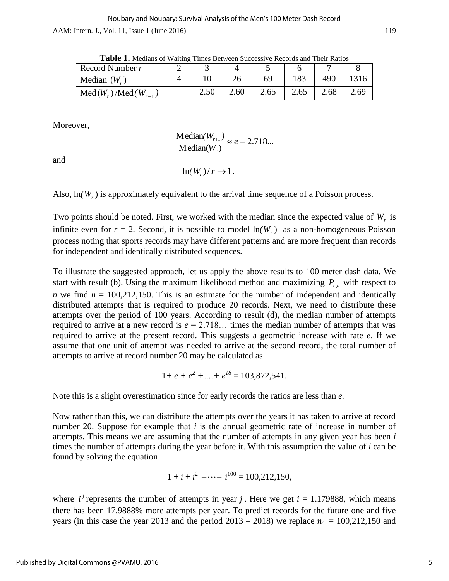AAM: Intern. J., Vol. 11, Issue 1 (June 2016) 119

| <b>THEIR TO MUCHAINS</b> OF WAILING THINGS DUCKWOON DUCCOSSIVE INCORDS AND THEIR INALITYS |  |      |      |      |      |      |      |
|-------------------------------------------------------------------------------------------|--|------|------|------|------|------|------|
| Record Number r                                                                           |  |      |      |      |      |      |      |
| Median $(Wr)$                                                                             |  |      |      | 69   | 183  | 490  | 1316 |
| $Med(W_r)/Med(W_{r-1})$                                                                   |  | 2.50 | 2.60 | 2.65 | 2.65 | 2.68 | 2.69 |

**Table 1.** Medians of Waiting Times Between Successive Records and Their Ratios

Moreover,

.2 718...  $M$ edian $(W_r)$  $\frac{\text{Median}(W_{r+1})}{\text{mean}(W_{r+1})} \approx e =$ *W*  $(W_{r+1})$ *r r*

and

 $\ln($  $W_r$ )/ $r \rightarrow 1$ .

Also,  $\ln(W_r)$  is approximately equivalent to the arrival time sequence of a Poisson process.

Two points should be noted. First, we worked with the median since the expected value of  $W_r$  is infinite even for  $r = 2$ . Second, it is possible to model  $ln(W_r)$  as a non-homogeneous Poisson process noting that sports records may have different patterns and are more frequent than records for independent and identically distributed sequences.

To illustrate the suggested approach, let us apply the above results to 100 meter dash data. We start with result (b). Using the maximum likelihood method and maximizing  $P_{r,n}$  with respect to *n* we find  $n = 100,212,150$ . This is an estimate for the number of independent and identically distributed attempts that is required to produce 20 records. Next, we need to distribute these attempts over the period of 100 years. According to result (d), the median number of attempts required to arrive at a new record is  $e = 2.718...$  times the median number of attempts that was required to arrive at the present record. This suggests a geometric increase with rate *e*. If we assume that one unit of attempt was needed to arrive at the second record, the total number of attempts to arrive at record number 20 may be calculated as

$$
1+e+e^2+....+e^{18}=103,872,541.
$$

Note this is a slight overestimation since for early records the ratios are less than *e.*

Now rather than this, we can distribute the attempts over the years it has taken to arrive at record number 20. Suppose for example that *i* is the annual geometric rate of increase in number of attempts. This means we are assuming that the number of attempts in any given year has been *i*  times the number of attempts during the year before it. With this assumption the value of *i* can be found by solving the equation

$$
1 + i + i2 + \cdots + i100 = 100,212,150,
$$

where  $i^j$  represents the number of attempts in year *j*. Here we get  $i = 1.179888$ , which means there has been 17.9888% more attempts per year. To predict records for the future one and five years (in this case the year 2013 and the period  $2013 - 2018$ ) we replace  $n_1 = 100,212,150$  and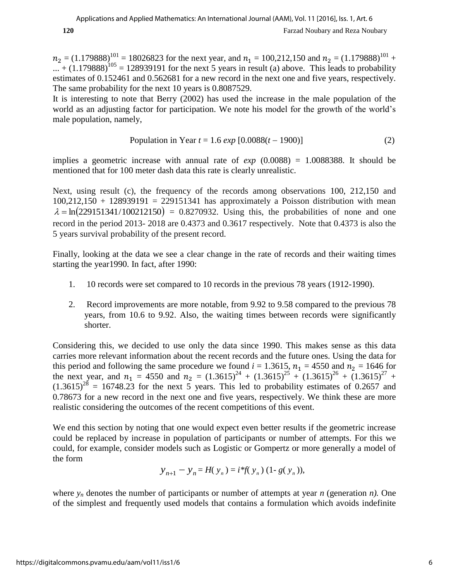$n_2 = (1.179888)^{101} = 18026823$  for the next year, and  $n_1 = 100,212,150$  and  $n_2 = (1.179888)^{101}$  +  $...$  + (1.179888)<sup>105</sup> = 128939191 for the next 5 years in result (a) above. This leads to probability estimates of 0.152461 and 0.562681 for a new record in the next one and five years, respectively. The same probability for the next 10 years is 0.8087529.

It is interesting to note that Berry (2002) has used the increase in the male population of the world as an adjusting factor for participation. We note his model for the growth of the world's male population, namely,

Population in Year 
$$
t = 1.6 \exp [0.0088(t - 1900)]
$$
 (2)

implies a geometric increase with annual rate of *exp* (0.0088) = 1.0088388. It should be mentioned that for 100 meter dash data this rate is clearly unrealistic.

Next, using result (c), the frequency of the records among observations 100, 212,150 and  $100,212,150 + 128939191 = 229151341$  has approximately a Poisson distribution with mean  $\lambda = \ln(229151341/100212150) = 0.8270932$ . Using this, the probabilities of none and one record in the period 2013- 2018 are 0.4373 and 0.3617 respectively. Note that 0.4373 is also the 5 years survival probability of the present record.

Finally, looking at the data we see a clear change in the rate of records and their waiting times starting the year1990. In fact, after 1990:

- 1. 10 records were set compared to 10 records in the previous 78 years (1912-1990).
- 2. Record improvements are more notable, from 9.92 to 9.58 compared to the previous 78 years, from 10.6 to 9.92. Also, the waiting times between records were significantly shorter.

Considering this, we decided to use only the data since 1990. This makes sense as this data carries more relevant information about the recent records and the future ones. Using the data for this period and following the same procedure we found  $i = 1.3615$ ,  $n_1 = 4550$  and  $n_2 = 1646$  for the next year, and  $n_1 = 4550$  and  $n_2 = (1.3615)^{24} + (1.3615)^{25} + (1.3615)^{26} + (1.3615)^{27} +$  $(1.3615)^{28}$  = 16748.23 for the next 5 years. This led to probability estimates of 0.2657 and 0.78673 for a new record in the next one and five years, respectively. We think these are more realistic considering the outcomes of the recent competitions of this event.

We end this section by noting that one would expect even better results if the geometric increase could be replaced by increase in population of participants or number of attempts. For this we could, for example, consider models such as Logistic or Gompertz or more generally a model of the form

$$
y_{n+1} - y_n = H(y_n) = i * f(y_n) (1 - g(y_n)),
$$

where  $y_n$  denotes the number of participants or number of attempts at year *n* (generation *n*). One of the simplest and frequently used models that contains a formulation which avoids indefinite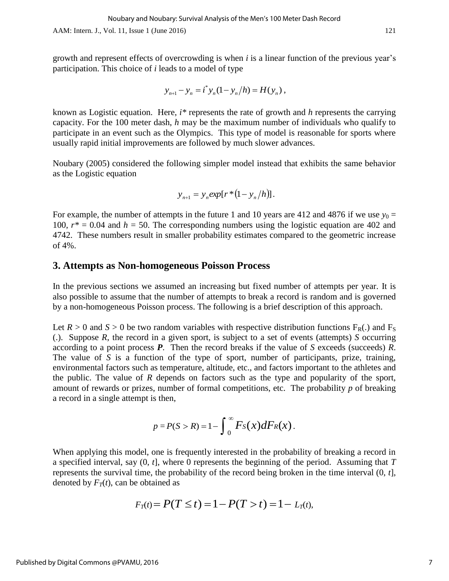growth and represent effects of overcrowding is when *i* is a linear function of the previous year's participation. This choice of *i* leads to a model of type

$$
y_{n+1} - y_n = i^* y_n (1 - y_n / h) = H(y_n) ,
$$

known as Logistic equation. Here, *i\** represents the rate of growth and *h* represents the carrying capacity. For the 100 meter dash, *h* may be the maximum number of individuals who qualify to participate in an event such as the Olympics. This type of model is reasonable for sports where usually rapid initial improvements are followed by much slower advances.

Noubary (2005) considered the following simpler model instead that exhibits the same behavior as the Logistic equation

$$
y_{n+1} = y_n exp[r*(1 - y_n/h)].
$$

For example, the number of attempts in the future 1 and 10 years are 412 and 4876 if we use  $y_0 =$ 100,  $r^* = 0.04$  and  $h = 50$ . The corresponding numbers using the logistic equation are 402 and 4742. These numbers result in smaller probability estimates compared to the geometric increase of 4%.

## **3. Attempts as Non-homogeneous Poisson Process**

In the previous sections we assumed an increasing but fixed number of attempts per year. It is also possible to assume that the number of attempts to break a record is random and is governed by a non-homogeneous Poisson process. The following is a brief description of this approach.

Let  $R > 0$  and  $S > 0$  be two random variables with respective distribution functions  $F_R(.)$  and  $F_S$ (.). Suppose *R*, the record in a given sport, is subject to a set of events (attempts) *S* occurring according to a point process *P*. Then the record breaks if the value of *S* exceeds (succeeds) *R*. The value of *S* is a function of the type of sport, number of participants, prize, training, environmental factors such as temperature, altitude, etc., and factors important to the athletes and the public. The value of *R* depends on factors such as the type and popularity of the sport, amount of rewards or prizes, number of formal competitions, etc. The probability *p* of breaking a record in a single attempt is then,

$$
p = P(S > R) = 1 - \int_0^\infty F_S(x) dF_R(x).
$$

When applying this model, one is frequently interested in the probability of breaking a record in a specified interval, say (0, *t*], where 0 represents the beginning of the period. Assuming that *T* represents the survival time, the probability of the record being broken in the time interval (0, *t*], denoted by  $F<sub>T</sub>(t)$ , can be obtained as

e obtained as  

$$
F_T(t) = P(T \le t) = 1 - P(T > t) = 1 - L_T(t)
$$
,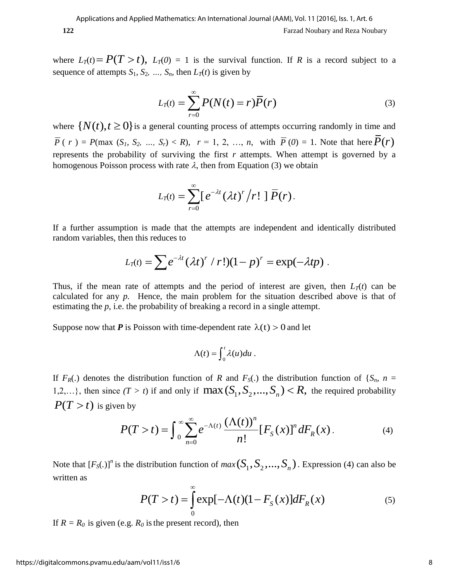where  $L_T(t) = P(T > t)$ ,  $L_T(0) = 1$  is the survival function. If *R* is a record subject to a sequence of attempts  $S_1$ ,  $S_2$ , ...,  $S_n$ , then  $L_T(t)$  is given by

$$
L_T(t) = \sum_{r=0}^{\infty} P(N(t) = r) \overline{P}(r)
$$
\n(3)

where  $\{N(t), t \ge 0\}$  is a general counting process of attempts occurring randomly in time and  $\overline{P}(r) = P(\text{max } (S_1, S_2, ..., S_r) < R), r = 1, 2, ..., n, \text{ with } \overline{P}(0) = 1. \text{ Note that here } \overline{P}(r)$ represents the probability of surviving the first  $r$  attempts. When attempt is governed by a homogenous Poisson process with rate  $\lambda$ , then from Equation (3) we obtain

$$
L_T(t) = \sum_{r=0}^{\infty} [e^{-\lambda t} (\lambda t)^r / r! ] \overline{P}(r).
$$

If a further assumption is made that the attempts are independent and identically distributed random variables, then this reduces to

then this reduces to  
\n
$$
L_T(t) = \sum e^{-\lambda t} (\lambda t)^r / r! (1 - p)^r = \exp(-\lambda tp).
$$

Thus, if the mean rate of attempts and the period of interest are given, then  $L_T(t)$  can be calculated for any *p.* Hence, the main problem for the situation described above is that of estimating the *p*, i.e. the probability of breaking a record in a single attempt.

Suppose now that *P* is Poisson with time-dependent rate  $\lambda(t) > 0$  and let

$$
\Lambda(t)=\int_0^t\lambda(u)du.
$$

If  $F_R(.)$  denotes the distribution function of *R* and  $F_S(.)$  the distribution function of  $\{S_n, n =$ If  $F_R(.)$  denotes the distribution function of R and  $F_S(.)$  the distribution function of  $\{S_n, n = 1,2,...\}$ , then since  $(T > t)$  if and only if  $\max(S_1, S_2,..., S_n) < R$ , the required probability  $P(T > t)$  is given by<br>  $P(T > t) = \int_0^\infty \sum_{$  $P(T > t)$  is given by

$$
P(T > t) = \int_0^\infty \sum_{n=0}^\infty e^{-\Lambda(t)} \frac{(\Lambda(t))^n}{n!} [F_S(x)]^n dF_R(x).
$$
 (4)

Note that  $[F_S(.)]^n$  is the distribution function of  $max(S_1, S_2, ..., S_n)$ . Expression (4) can also be written as

$$
P(T > t) = \int_{0}^{\infty} \exp[-\Lambda(t)(1 - F_{S}(x))]dF_{R}(x)
$$
 (5)

If  $R = R_0$  is given (e.g.  $R_0$  is the present record), then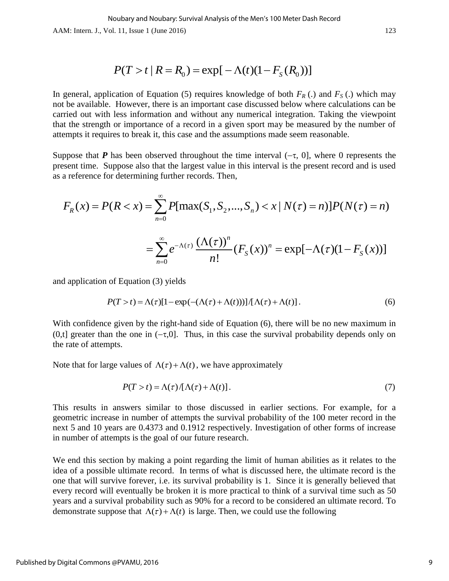$$
P(T > t | R = R_0) = \exp[-\Lambda(t)(1 - F_s(R_0))]
$$

In general, application of Equation (5) requires knowledge of both  $F_R$  (.) and  $F_S$  (.) which may not be available. However, there is an important case discussed below where calculations can be carried out with less information and without any numerical integration. Taking the viewpoint that the strength or importance of a record in a given sport may be measured by the number of attempts it requires to break it, this case and the assumptions made seem reasonable.

Suppose that *P* has been observed throughout the time interval  $(-\tau, 0]$ , where 0 represents the present time. Suppose also that the largest value in this interval is the present record and is used as a reference for determining further records. Then,

oppose that **P** has been observed throughout the time interval 
$$
(-\tau, 0]
$$
, where 0 represents the sent time. Suppose also that the largest value in this interval is the present record and is used a reference for determining further records. Then,

\n
$$
F_R(x) = P(R < x) = \sum_{n=0}^{\infty} P[\max(S_1, S_2, \ldots, S_n) < x \mid N(\tau) = n)] P(N(\tau) = n)
$$
\n
$$
= \sum_{n=0}^{\infty} e^{-\Lambda(\tau)} \frac{(\Lambda(\tau))^n}{n!} (F_S(x))^n = \exp[-\Lambda(\tau)(1 - F_S(x))]
$$

and application of Equation (3) yields

$$
P(T > t) = \Lambda(\tau)[1 - \exp(-(\Lambda(\tau) + \Lambda(t)))] / [\Lambda(\tau) + \Lambda(t)].
$$
\n(6)

With confidence given by the right-hand side of Equation (6), there will be no new maximum in (0,t) greater than the one in  $(-\tau,0]$ . Thus, in this case the survival probability depends only on the rate of attempts.

Note that for large values of  $\Lambda(\tau) + \Lambda(t)$ , we have approximately

$$
P(T > t) = \Lambda(\tau) / [\Lambda(\tau) + \Lambda(t)].
$$
\n(7)

This results in answers similar to those discussed in earlier sections. For example, for a geometric increase in number of attempts the survival probability of the 100 meter record in the next 5 and 10 years are 0.4373 and 0.1912 respectively. Investigation of other forms of increase in number of attempts is the goal of our future research.

We end this section by making a point regarding the limit of human abilities as it relates to the idea of a possible ultimate record. In terms of what is discussed here, the ultimate record is the one that will survive forever, i.e. its survival probability is 1. Since it is generally believed that every record will eventually be broken it is more practical to think of a survival time such as 50 years and a survival probability such as 90% for a record to be considered an ultimate record. To demonstrate suppose that  $\Lambda(\tau) + \Lambda(t)$  is large. Then, we could use the following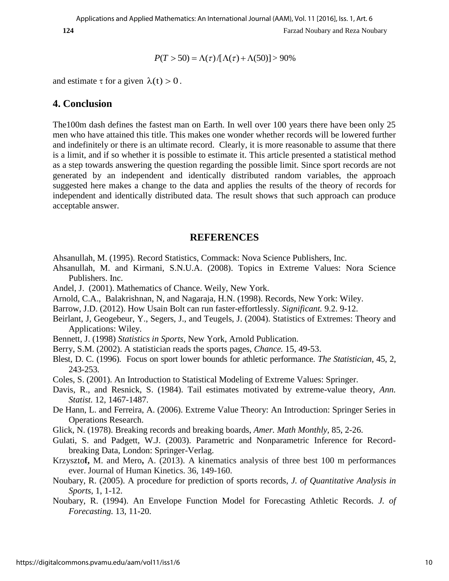$$
P(T > 50) = \Lambda(\tau)/[\Lambda(\tau) + \Lambda(50)] > 90\%
$$

and estimate  $\tau$  for a given  $\lambda(t) > 0$ .

## **4. Conclusion**

The100m dash defines the fastest man on Earth. In well over 100 years there have been only 25 men who have attained this title. This makes one wonder whether records will be lowered further and indefinitely or there is an ultimate record. Clearly, it is more reasonable to assume that there is a limit, and if so whether it is possible to estimate it. This article presented a statistical method as a step towards answering the question regarding the possible limit. Since sport records are not generated by an independent and identically distributed random variables, the approach suggested here makes a change to the data and applies the results of the theory of records for independent and identically distributed data. The result shows that such approach can produce acceptable answer.

#### **REFERENCES**

- Ahsanullah, M. (1995). Record Statistics, Commack: Nova Science Publishers, Inc.
- Ahsanullah, M. and Kirmani, S.N.U.A. (2008). Topics in Extreme Values: Nora Science Publishers. Inc.
- Andel, J. (2001). Mathematics of Chance. Weily, New York.
- Arnold, C.A., Balakrishnan, N, and Nagaraja, H.N. (1998). Records, New York: Wiley.
- Barrow, J.D. (2012). How Usain Bolt can run faster-effortlessly. *Significant.* 9.2. 9-12.
- Beirlant, J, Geogebeur, Y., Segers, J., and Teugels, J. (2004). Statistics of Extremes: Theory and Applications: Wiley.
- Bennett, J. (1998) *Statistics in Sports*, New York, Arnold Publication.
- Berry, S.M. (2002). A statistician reads the sports pages, *Chance.* 15, 49-53.
- Blest, D. C. (1996). Focus on sport lower bounds for athletic performance. *The Statistician*, 45, 2, 243-253.
- Coles, S. (2001). An Introduction to Statistical Modeling of Extreme Values: Springer.
- Davis, R., and Resnick, S. (1984). Tail estimates motivated by extreme-value theory, *Ann. Statist.* 12, 1467-1487.
- De Hann, L. and Ferreira, A. (2006). Extreme Value Theory: An Introduction: Springer Series in Operations Research.
- Glick, N. (1978). Breaking records and breaking boards, *Amer. Math Monthly,* 85, 2-26.
- Gulati, S. and Padgett, W.J. (2003). Parametric and Nonparametric Inference for Recordbreaking Data, London: Springer-Verlag.
- Krzyszto**f,** M. and Mero**,** A. (2013). [A kinematics analysis of three best 100 m performances](http://www.ncbi.nlm.nih.gov/pubmed/23717364)  [ever.](http://www.ncbi.nlm.nih.gov/pubmed/23717364) Journal of Human Kinetics. 36, 149-160.
- Noubary, R. (2005). A procedure for prediction of sports records, *J. of Quantitative Analysis in Sports*, 1, 1-12.
- Noubary, R. (1994). An Envelope Function Model for Forecasting Athletic Records. *J. of Forecasting.* 13, 11-20.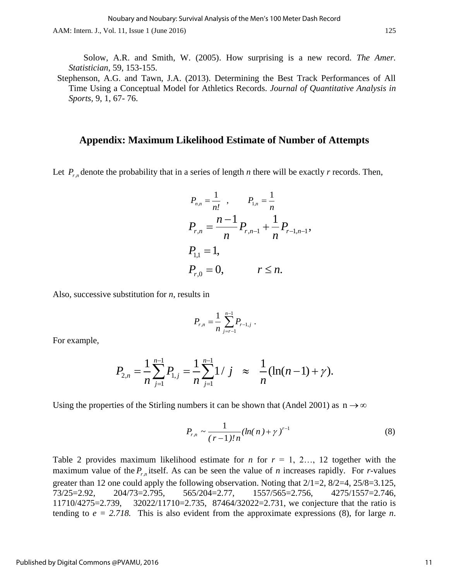AAM: Intern. J., Vol. 11, Issue 1 (June 2016) 125

 Solow, A.R. and Smith, W. (2005). How surprising is a new record. *The Amer. Statistician*, 59, 153-155.

 Stephenson, A.G. and Tawn, J.A. (2013). Determining the Best Track Performances of All Time Using a Conceptual Model for Athletics Records. *Journal of Quantitative Analysis in Sports,* 9, 1, 67- 76.

### **Appendix: Maximum Likelihood Estimate of Number of Attempts**

Let  $P_{r,n}$  denote the probability that in a series of length *n* there will be exactly *r* records. Then,

$$
P_{n,n} = \frac{1}{n!}, \qquad P_{1,n} = \frac{1}{n}
$$
  
\n
$$
P_{r,n} = \frac{n-1}{n} P_{r,n-1} + \frac{1}{n} P_{r-1,n-1},
$$
  
\n
$$
P_{1,1} = 1,
$$
  
\n
$$
P_{r,0} = 0, \qquad r \le n.
$$

Also, successive substitution for *n*, results in

$$
P_{r,n} = \frac{1}{n} \sum_{j=r-1}^{n-1} P_{r-1,j} \; .
$$

For example,

$$
P_{r,n} = \frac{1}{n} \sum_{j=r-1}^{n} P_{r-1,j}.
$$
  

$$
P_{2,n} = \frac{1}{n} \sum_{j=1}^{n-1} P_{1,j} = \frac{1}{n} \sum_{j=1}^{n-1} 1 / j \approx \frac{1}{n} (\ln(n-1) + \gamma).
$$

Using the properties of the Stirling numbers it can be shown that (Andel 2001) as  $n \rightarrow \infty$ 

$$
P_{r,n} \sim \frac{1}{(r-1)!n} (\ln(n) + \gamma)^{r-1}
$$
 (8)

Table 2 provides maximum likelihood estimate for *n* for  $r = 1, 2, \ldots, 12$  together with the maximum value of the  $P_{r,n}$  itself. As can be seen the value of *n* increases rapidly. For *r*-values greater than 12 one could apply the following observation. Noting that 2/1=2, 8/2=4, 25/8=3.125, 73/25=2.92, 204/73=2.795, 565/204=2.77, 1557/565=2.756, 4275/1557=2.746, 11710/4275=2.739, 32022/11710=2.735, 87464/32022=2.731, we conjecture that the ratio is tending to  $e = 2.718$ . This is also evident from the approximate expressions (8), for large *n*.